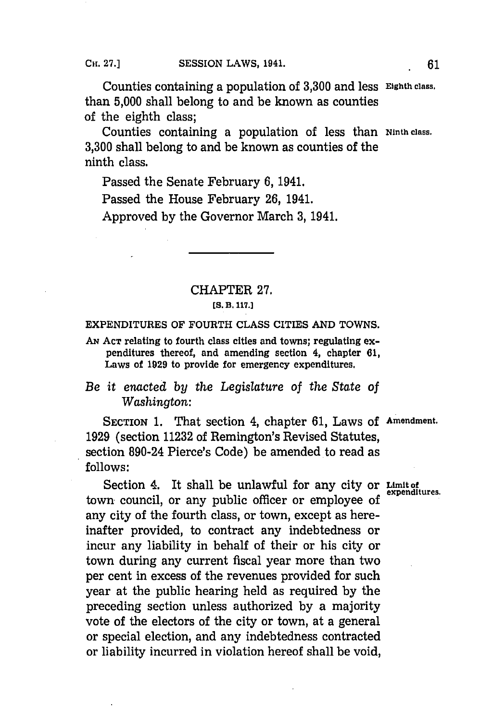Counties containing a population of **3,300** and less **Eighth class,** than **5,000** shall belong to and be known as counties of the eighth class;

Counties containing a population of less than **Ninth class. 3,300** shall belong to and be known as counties of the ninth class.

Passed the Senate February **6,** 1941.

Passed the House February **26,** 1941.

Approved **by** the Governor March 3, 1941.

## CHAPTER **27. [S. B. 117.]**

EXPENDITURES OF FOURTH **CLASS** CITIES **AND TOWNS.**

AN Acr relating to fourth class cities and towns; regulating expenditures thereof, and amending section 4, chapter **61,** Laws of **1929** to provide for emergency expenditures.

## *Be it enacted by the Legislature of the State of Washington:*

SECTION **1.** That section 4, chapter **61,** Laws **of** Amendment. **1929** (section **11232** of Remington's Revised Statutes, section 890-24 Pierce's Code) be amended to read as **follows:**

Section 4. It shall be unlawful for any city or Limit of expenditures. town council, or any public officer or employee of any city of the fourth class, or town, except as hereinafter provided, to contract any indebtedness or incur any liability in behalf of their or his city or town during any current fiscal year more than two per cent in excess of the revenues provided for such year at the public hearing held as required **by** the preceding section unless authorized **by** a majority vote of the electors of the city or town, at a general or special election, and any indebtedness contracted or liability incurred in violation hereof shall be void,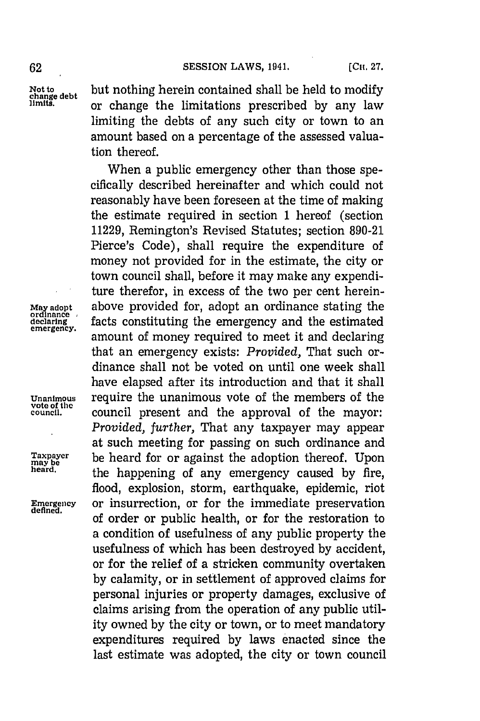**Not to** but nothing herein contained shall be held to modify **change debt limits,** or change the limitations prescribed **by** any law limiting the debts of any such city or town to an amount based on a percentage of the assessed valuation thereof.

When a public emergency other than those specifically described hereinafter and which could not reasonably have been foreseen at the time of making the estimate required in section **1** hereof (section **11229,** Remington's Revised Statutes; section **890-21** Pierce's Code), shall require the expenditure of money not provided for in the estimate, the city or town council shall, before it may make any expenditure therefor, in excess of the two per cent herein-**Mja adopt** above provided for, adopt an ordinance stating the declaring facts constituting the emergency and the estimated emergency. amount of money required to meet it and declaring that an emergency exists: *Provided,* That such ordinance shall not be voted on until one week shall have elapsed after its introduction and that it shall **Unanimous** require the unanimous vote of the members of the **vote of the council present and the approval of the mayor:** *Provided, further,* That any taxpayer may appear at such meeting for passing on such ordinance and **Taxpayer** be heard for or against the adoption thereof. Upon **may be heard,** the happening of any emergency caused **by** fire, flood, explosion, storm, earthquake, epidemic, riot **Emergency** or insurrection, or for the immediate preservation of order or public health, or for the restoration to a condition of usefulness of any public property the usefulness of which has been destroyed **by** accident, or for the relief of a stricken community overtaken **by** calamity, or in settlement of approved claims for personal injuries or property damages, exclusive of claims arising from the operation of any public utility owned **by** the city or town, or to meet mandatory expenditures required **by** laws enacted since the last estimate was adopted, the city or town council